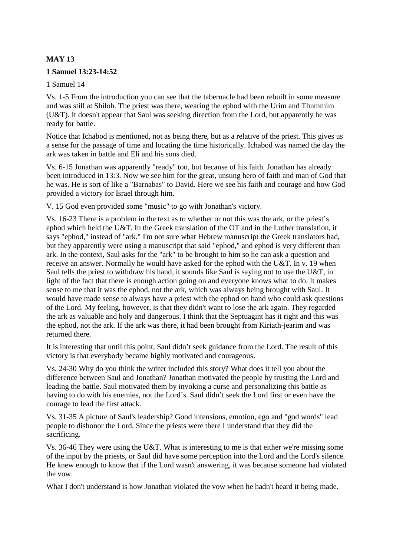# **MAY 13**

#### **1 Samuel 13:23-14:52**

#### 1 Samuel 14

Vs. 1-5 From the introduction you can see that the tabernacle had been rebuilt in some measure and was still at Shiloh. The priest was there, wearing the ephod with the Urim and Thummim (U&T). It doesn't appear that Saul was seeking direction from the Lord, but apparently he was ready for battle.

Notice that Ichabod is mentioned, not as being there, but as a relative of the priest. This gives us a sense for the passage of time and locating the time historically. Ichabod was named the day the ark was taken in battle and Eli and his sons died.

Vs. 6-15 Jonathan was apparently "ready" too, but because of his faith. Jonathan has already been introduced in 13:3. Now we see him for the great, unsung hero of faith and man of God that he was. He is sort of like a "Barnabas" to David. Here we see his faith and courage and how God provided a victory for Israel through him.

V. 15 God even provided some "music" to go with Jonathan's victory.

Vs. 16-23 There is a problem in the text as to whether or not this was the ark, or the priest's ephod which held the U&T. In the Greek translation of the OT and in the Luther translation, it says "ephod," instead of "ark." I'm not sure what Hebrew manuscript the Greek translators had, but they apparently were using a manuscript that said "ephod," and ephod is very different than ark. In the context, Saul asks for the "ark" to be brought to him so he can ask a question and receive an answer. Normally he would have asked for the ephod with the U&T. In v. 19 when Saul tells the priest to withdraw his hand, it sounds like Saul is saying not to use the U&T, in light of the fact that there is enough action going on and everyone knows what to do. It makes sense to me that it was the ephod, not the ark, which was always being brought with Saul. It would have made sense to always have a priest with the ephod on hand who could ask questions of the Lord. My feeling, however, is that they didn't want to lose the ark again. They regarded the ark as valuable and holy and dangerous. I think that the Septuagint has it right and this was the ephod, not the ark. If the ark was there, it had been brought from Kiriath-jearim and was returned there.

It is interesting that until this point, Saul didn't seek guidance from the Lord. The result of this victory is that everybody became highly motivated and courageous.

Vs. 24-30 Why do you think the writer included this story? What does it tell you about the difference between Saul and Jonathan? Jonathan motivated the people by trusting the Lord and leading the battle. Saul motivated them by invoking a curse and personalizing this battle as having to do with his enemies, not the Lord's. Saul didn't seek the Lord first or even have the courage to lead the first attack.

Vs. 31-35 A picture of Saul's leadership? Good intensions, emotion, ego and "god words" lead people to dishonor the Lord. Since the priests were there I understand that they did the sacrificing.

Vs. 36-46 They were using the U&T. What is interesting to me is that either we're missing some of the input by the priests, or Saul did have some perception into the Lord and the Lord's silence. He knew enough to know that if the Lord wasn't answering, it was because someone had violated the vow.

What I don't understand is how Jonathan violated the vow when he hadn't heard it being made.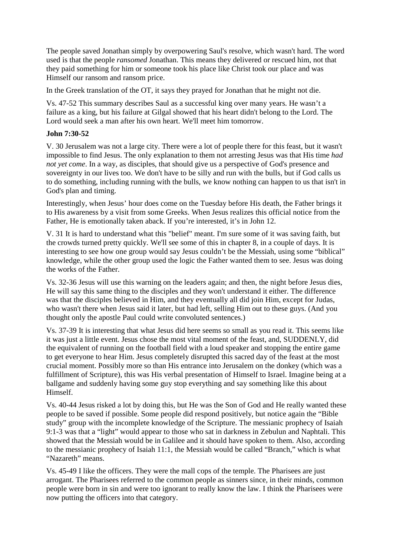The people saved Jonathan simply by overpowering Saul's resolve, which wasn't hard. The word used is that the people *ransomed* Jonathan. This means they delivered or rescued him, not that they paid something for him or someone took his place like Christ took our place and was Himself our ransom and ransom price.

In the Greek translation of the OT, it says they prayed for Jonathan that he might not die.

Vs. 47-52 This summary describes Saul as a successful king over many years. He wasn't a failure as a king, but his failure at Gilgal showed that his heart didn't belong to the Lord. The Lord would seek a man after his own heart. We'll meet him tomorrow.

## **John 7:30-52**

V. 30 Jerusalem was not a large city. There were a lot of people there for this feast, but it wasn't impossible to find Jesus. The only explanation to them not arresting Jesus was that His time *had not yet come*. In a way, as disciples, that should give us a perspective of God's presence and sovereignty in our lives too. We don't have to be silly and run with the bulls, but if God calls us to do something, including running with the bulls, we know nothing can happen to us that isn't in God's plan and timing.

Interestingly, when Jesus' hour does come on the Tuesday before His death, the Father brings it to His awareness by a visit from some Greeks. When Jesus realizes this official notice from the Father, He is emotionally taken aback. If you're interested, it's in John 12.

V. 31 It is hard to understand what this "belief" meant. I'm sure some of it was saving faith, but the crowds turned pretty quickly. We'll see some of this in chapter 8, in a couple of days. It is interesting to see how one group would say Jesus couldn't be the Messiah, using some "biblical" knowledge, while the other group used the logic the Father wanted them to see. Jesus was doing the works of the Father.

Vs. 32-36 Jesus will use this warning on the leaders again; and then, the night before Jesus dies, He will say this same thing to the disciples and they won't understand it either. The difference was that the disciples believed in Him, and they eventually all did join Him, except for Judas, who wasn't there when Jesus said it later, but had left, selling Him out to these guys. (And you thought only the apostle Paul could write convoluted sentences.)

Vs. 37-39 It is interesting that what Jesus did here seems so small as you read it. This seems like it was just a little event. Jesus chose the most vital moment of the feast, and, SUDDENLY, did the equivalent of running on the football field with a loud speaker and stopping the entire game to get everyone to hear Him. Jesus completely disrupted this sacred day of the feast at the most crucial moment. Possibly more so than His entrance into Jerusalem on the donkey (which was a fulfillment of Scripture), this was His verbal presentation of Himself to Israel. Imagine being at a ballgame and suddenly having some guy stop everything and say something like this about Himself.

Vs. 40-44 Jesus risked a lot by doing this, but He was the Son of God and He really wanted these people to be saved if possible. Some people did respond positively, but notice again the "Bible study" group with the incomplete knowledge of the Scripture. The messianic prophecy of Isaiah 9:1-3 was that a "light" would appear to those who sat in darkness in Zebulun and Naphtali. This showed that the Messiah would be in Galilee and it should have spoken to them. Also, according to the messianic prophecy of Isaiah 11:1, the Messiah would be called "Branch," which is what "Nazareth" means.

Vs. 45-49 I like the officers. They were the mall cops of the temple. The Pharisees are just arrogant. The Pharisees referred to the common people as sinners since, in their minds, common people were born in sin and were too ignorant to really know the law. I think the Pharisees were now putting the officers into that category.